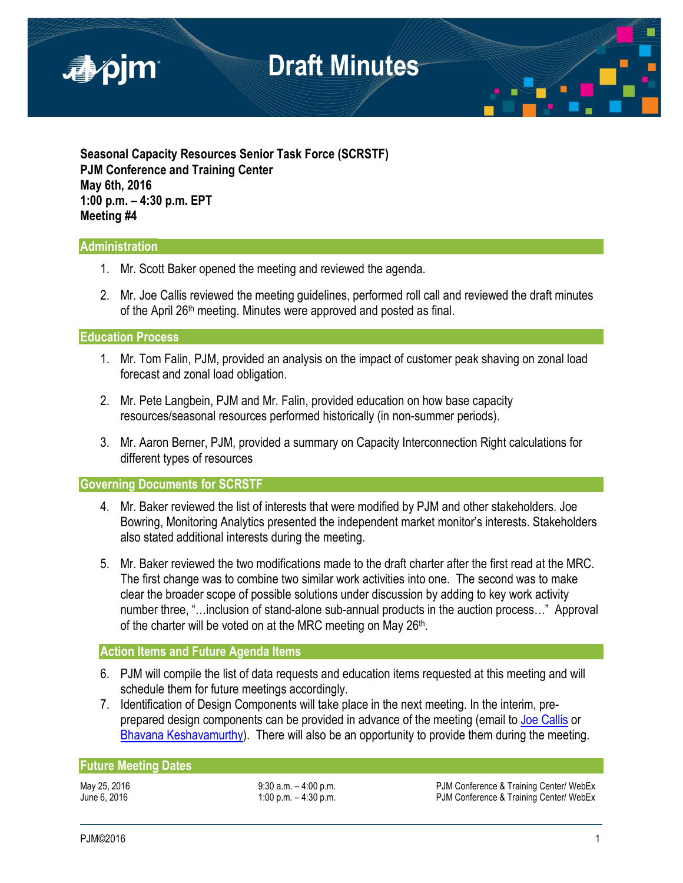

**Seasonal Capacity Resources Senior Task Force (SCRSTF) PJM Conference and Training Center May 6th, 2016 1:00 p.m. – 4:30 p.m. EPT Meeting #4**

### **Administration**

- 1. Mr. Scott Baker opened the meeting and reviewed the agenda.
- 2. Mr. Joe Callis reviewed the meeting guidelines, performed roll call and reviewed the draft minutes of the April 26<sup>th</sup> meeting. Minutes were approved and posted as final.

**Education Process** 

- 1. Mr. Tom Falin, PJM, provided an analysis on the impact of customer peak shaving on zonal load forecast and zonal load obligation.
- 2. Mr. Pete Langbein, PJM and Mr. Falin, provided education on how base capacity resources/seasonal resources performed historically (in non-summer periods).
- 3. Mr. Aaron Berner, PJM, provided a summary on Capacity Interconnection Right calculations for different types of resources

**Governing Documents for SCRSTF** 

- 4. Mr. Baker reviewed the list of interests that were modified by PJM and other stakeholders. Joe Bowring, Monitoring Analytics presented the independent market monitor's interests. Stakeholders also stated additional interests during the meeting.
- 5. Mr. Baker reviewed the two modifications made to the draft charter after the first read at the MRC. The first change was to combine two similar work activities into one. The second was to make clear the broader scope of possible solutions under discussion by adding to key work activity number three, "…inclusion of stand-alone sub-annual products in the auction process…" Approval of the charter will be voted on at the MRC meeting on May 26th.

#### **Action Items and Future Agenda Items**

- 6. PJM will compile the list of data requests and education items requested at this meeting and will schedule them for future meetings accordingly.
- 7. Identification of Design Components will take place in the next meeting. In the interim, pre-prepared design components can be provided in advance of the meeting (email to [Joe Callis](mailto:Joseph.Callis@pjm.com?subject=SCRSTF%20Stakeholder%20interests) or [Bhavana Keshavamurthy\)](mailto:Bhavana.Murthy@pjm.com?subject=SCRSTF%20Stakeholder%20interests). There will also be an opportunity to provide them during the meeting.

#### **Future Meeting Dates**

May 25, 2016 **19:30 a.m. – 4:00 p.m.** PJM Conference & Training Center/ WebEx June 6, 2016 **1:00 p.m. – 4:30 p.m.** PJM Conference & Training Center/ WebEx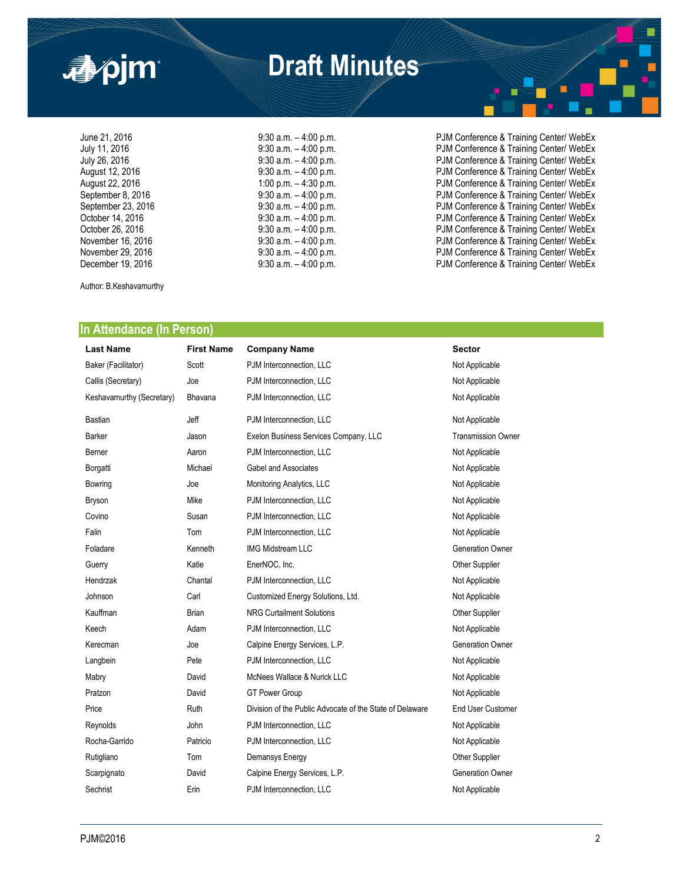

June 21, 2016 **19:30 a.m.** – 4:00 p.m. **PJM Conference & Training Center/ WebEx**<br>July 11, 2016 **19:30 a.m.** – 4:00 p.m. **PJM Conference & Training Center/ WebEx** July 11, 2016 **19:30 a.m.** – 4:00 p.m. PJM Conference & Training Center/ WebEx<br>July 26, 2016 **19:30 a.m.** – 4:00 p.m. PJM Conference & Training Center/ WebEx July 26, 2016 **19:30 a.m.** – 4:00 p.m. PJM Conference & Training Center/ WebEx<br>August 12, 2016 **19:30 a.m.** – 4:00 p.m. PJM Conference & Training Center/ WebEx August 12, 2016 <br>August 22, 2016 **9:30 a.m.** – 4:00 p.m. example and provide a PJM Conference & Training Center/ WebEx<br>PJM Conference & Training Center/ WebEx August 22, 2016 1:00 p.m. – 4:30 p.m. – 4:30 p.m.<br>September 8, 2016 9:30 a.m. – 4:00 p.m. PJM Conference & Training Center/ WebEx 9:30 a.m. – 4:00 p.m.<br>
9:30 a.m. – 4:00 p.m.<br>
9:30 a.m. – 4:00 p.m.<br>
PJM Conference & Training Center/ WebEx<br>
9:30 a.m. – 4:00 p.m.<br>
PJM Conference & Training Center/ WebEx<br>
9:30 a.m. – 4:00 p.m.<br>
PJM Conference & Training September 23, 2016 **9:30 a.m.** – 4:00 p.m. PJM Conference & Training Center/ WebEx October 14, 2016 **12, 2016** 9:30 a.m. – 4:00 p.m. PJM Conference & Training Center/ WebEx<br>October 26, 2016 **9:30 a.m.** – 4:00 p.m. PJM Conference & Training Center/ WebEx October 26, 2016 **19:30 a.m.** – 4:00 p.m. **PJM Conference & Training Center/ WebEx**<br>November 16, 2016 **19:30 a.m.** – 4:00 p.m. PJM Conference & Training Center/ WebEx November 16, 2016 **19:30 a.m.** – 4:00 p.m. **PJM Conference & Training Center/ WebEx**<br>November 29, 2016 19:30 a.m. – 4:00 p.m. PJM Conference & Training Center/ WebEx November 29, 2016 <br>December 19, 2016 **9:30 a.m.** – 4:00 p.m. **PJM Conference & Training Center/ WebEx**<br>PJM Conference & Training Center/ WebEx PJM Conference & Training Center/ WebEx

Author: B.Keshavamurthy

#### **In Attendance (In Person)**

| <b>Last Name</b>          | <b>First Name</b> | <b>Company Name</b>                                      | <b>Sector</b>             |
|---------------------------|-------------------|----------------------------------------------------------|---------------------------|
| Baker (Facilitator)       | Scott             | PJM Interconnection, LLC                                 | Not Applicable            |
| Callis (Secretary)        | Joe               | PJM Interconnection, LLC                                 | Not Applicable            |
| Keshavamurthy (Secretary) | Bhavana           | PJM Interconnection, LLC                                 | Not Applicable            |
| <b>Bastian</b>            | Jeff              | PJM Interconnection, LLC                                 | Not Applicable            |
| <b>Barker</b>             | Jason             | Exelon Business Services Company, LLC                    | <b>Transmission Owner</b> |
| Berner                    | Aaron             | PJM Interconnection, LLC                                 | Not Applicable            |
| Borgatti                  | Michael           | <b>Gabel and Associates</b>                              | Not Applicable            |
| Bowring                   | Joe               | Monitoring Analytics, LLC                                | Not Applicable            |
| Bryson                    | Mike              | PJM Interconnection, LLC                                 | Not Applicable            |
| Covino                    | Susan             | PJM Interconnection. LLC                                 | Not Applicable            |
| Falin                     | Tom               | PJM Interconnection, LLC                                 | Not Applicable            |
| Foladare                  | Kenneth           | <b>IMG Midstream LLC</b>                                 | <b>Generation Owner</b>   |
| Guerry                    | Katie             | EnerNOC, Inc.                                            | Other Supplier            |
| Hendrzak                  | Chantal           | PJM Interconnection, LLC                                 | Not Applicable            |
| Johnson                   | Carl              | Customized Energy Solutions, Ltd.                        | Not Applicable            |
| Kauffman                  | <b>Brian</b>      | <b>NRG Curtailment Solutions</b>                         | Other Supplier            |
| Keech                     | Adam              | PJM Interconnection, LLC                                 | Not Applicable            |
| Kerecman                  | Joe               | Calpine Energy Services, L.P.                            | <b>Generation Owner</b>   |
| Langbein                  | Pete              | PJM Interconnection, LLC                                 | Not Applicable            |
| Mabry                     | David             | McNees Wallace & Nurick LLC                              | Not Applicable            |
| Pratzon                   | David             | <b>GT Power Group</b>                                    | Not Applicable            |
| Price                     | Ruth              | Division of the Public Advocate of the State of Delaware | End User Customer         |
| Reynolds                  | John              | PJM Interconnection, LLC                                 | Not Applicable            |
| Rocha-Garrido             | Patricio          | PJM Interconnection, LLC                                 | Not Applicable            |
| Rutigliano                | Tom               | Demansys Energy                                          | Other Supplier            |
| Scarpignato               | David             | Calpine Energy Services, L.P.                            | <b>Generation Owner</b>   |
| Sechrist                  | Erin              | PJM Interconnection, LLC                                 | Not Applicable            |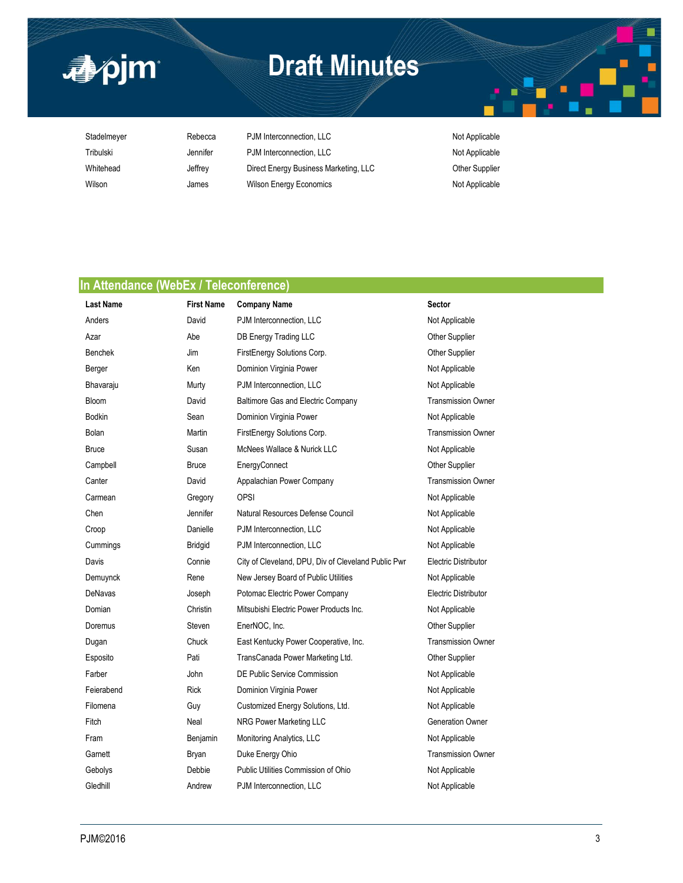

**<br />
a**pjm

Stadelmeyer Rebecca PJM Interconnection, LLC Not Applicable Not Applicable Tribulski **Manufer** Jennifer PJM Interconnection, LLC Not Applicable Whitehead **Jeffrey** Direct Energy Business Marketing, LLC **Other Supplier** Wilson **Million** James Wilson Energy Economics Mother and Mot Applicable

### **In Attendance (WebEx / Teleconference)**

| <b>Last Name</b> | <b>First Name</b> | <b>Company Name</b>                                 | <b>Sector</b>             |
|------------------|-------------------|-----------------------------------------------------|---------------------------|
| Anders           | David             | PJM Interconnection, LLC                            | Not Applicable            |
| Azar             | Abe               | DB Energy Trading LLC                               | <b>Other Supplier</b>     |
| <b>Benchek</b>   | Jim               | FirstEnergy Solutions Corp.                         | <b>Other Supplier</b>     |
| Berger           | Ken               | Dominion Virginia Power                             | Not Applicable            |
| Bhavaraju        | Murty             | PJM Interconnection, LLC                            | Not Applicable            |
| Bloom            | David             | <b>Baltimore Gas and Electric Company</b>           | <b>Transmission Owner</b> |
| <b>Bodkin</b>    | Sean              | Dominion Virginia Power                             | Not Applicable            |
| Bolan            | Martin            | FirstEnergy Solutions Corp.                         | <b>Transmission Owner</b> |
| <b>Bruce</b>     | Susan             | McNees Wallace & Nurick LLC                         | Not Applicable            |
| Campbell         | <b>Bruce</b>      | EnergyConnect                                       | <b>Other Supplier</b>     |
| Canter           | David             | Appalachian Power Company                           | <b>Transmission Owner</b> |
| Carmean          | Gregory           | <b>OPSI</b>                                         | Not Applicable            |
| Chen             | Jennifer          | Natural Resources Defense Council                   | Not Applicable            |
| Croop            | Danielle          | PJM Interconnection, LLC                            | Not Applicable            |
| Cummings         | <b>Bridgid</b>    | PJM Interconnection, LLC                            | Not Applicable            |
| Davis            | Connie            | City of Cleveland, DPU, Div of Cleveland Public Pwr | Electric Distributor      |
| Demuynck         | Rene              | New Jersey Board of Public Utilities                | Not Applicable            |
| DeNavas          | Joseph            | Potomac Electric Power Company                      | Electric Distributor      |
| Domian           | Christin          | Mitsubishi Electric Power Products Inc.             | Not Applicable            |
| Doremus          | Steven            | EnerNOC, Inc.                                       | Other Supplier            |
| Dugan            | Chuck             | East Kentucky Power Cooperative, Inc.               | <b>Transmission Owner</b> |
| Esposito         | Pati              | TransCanada Power Marketing Ltd.                    | <b>Other Supplier</b>     |
| Farber           | John              | DE Public Service Commission                        | Not Applicable            |
| Feierabend       | <b>Rick</b>       | Dominion Virginia Power                             | Not Applicable            |
| Filomena         | Guy               | Customized Energy Solutions, Ltd.                   | Not Applicable            |
| Fitch            | Neal              | NRG Power Marketing LLC                             | <b>Generation Owner</b>   |
| Fram             | Benjamin          | Monitoring Analytics, LLC                           | Not Applicable            |
| Garnett          | Bryan             | Duke Energy Ohio                                    | <b>Transmission Owner</b> |
| Gebolys          | Debbie            | Public Utilities Commission of Ohio                 | Not Applicable            |
| Gledhill         | Andrew            | PJM Interconnection, LLC                            | Not Applicable            |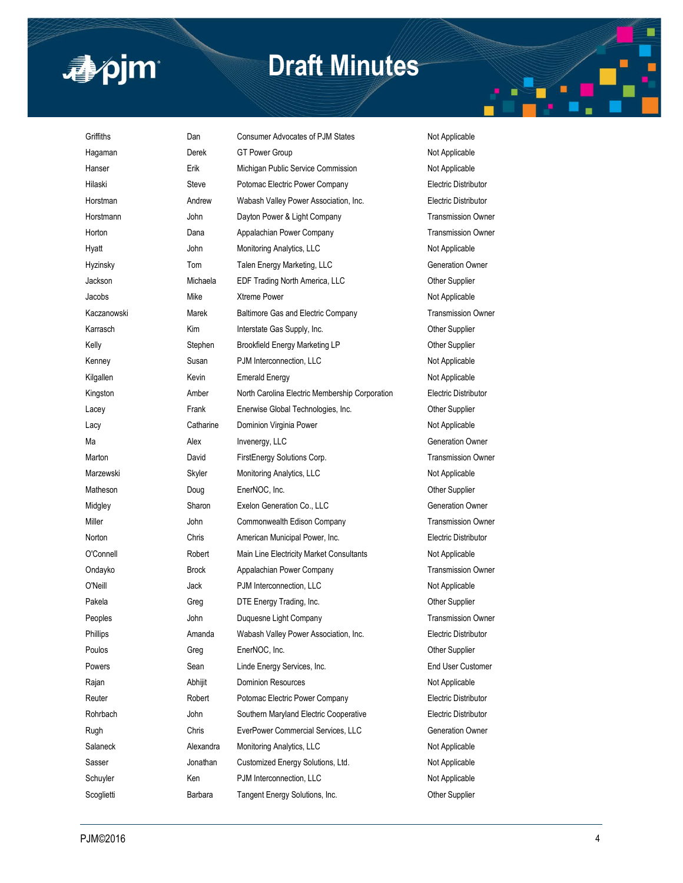

| Griffiths   | Dan          | Consumer Advocates of PJM States               | Not Applicable              |
|-------------|--------------|------------------------------------------------|-----------------------------|
| Hagaman     | Derek        | GT Power Group                                 | Not Applicable              |
| Hanser      | Erik         | Michigan Public Service Commission             | Not Applicable              |
| Hilaski     | <b>Steve</b> | Potomac Electric Power Company                 | Electric Distributor        |
| Horstman    | Andrew       | Wabash Valley Power Association, Inc.          | Electric Distributor        |
| Horstmann   | John         | Dayton Power & Light Company                   | <b>Transmission Owner</b>   |
| Horton      | Dana         | Appalachian Power Company                      | <b>Transmission Owner</b>   |
| Hyatt       | John         | Monitoring Analytics, LLC                      | Not Applicable              |
| Hyzinsky    | Tom          | Talen Energy Marketing, LLC                    | <b>Generation Owner</b>     |
| Jackson     | Michaela     | EDF Trading North America, LLC                 | Other Supplier              |
| Jacobs      | Mike         | Xtreme Power                                   | Not Applicable              |
| Kaczanowski | Marek        | Baltimore Gas and Electric Company             | <b>Transmission Owner</b>   |
| Karrasch    | Kim          | Interstate Gas Supply, Inc.                    | Other Supplier              |
| Kelly       | Stephen      | Brookfield Energy Marketing LP                 | Other Supplier              |
| Kenney      | Susan        | PJM Interconnection, LLC                       | Not Applicable              |
| Kilgallen   | Kevin        | <b>Emerald Energy</b>                          | Not Applicable              |
| Kingston    | Amber        | North Carolina Electric Membership Corporation | Electric Distributor        |
| Lacey       | Frank        | Enerwise Global Technologies, Inc.             | Other Supplier              |
| Lacy        | Catharine    | Dominion Virginia Power                        | Not Applicable              |
| Ma          | Alex         | Invenergy, LLC                                 | <b>Generation Owner</b>     |
| Marton      | David        | FirstEnergy Solutions Corp.                    | <b>Transmission Owner</b>   |
| Marzewski   | Skyler       | Monitoring Analytics, LLC                      | Not Applicable              |
| Matheson    | Doug         | EnerNOC, Inc.                                  | Other Supplier              |
| Midgley     | Sharon       | Exelon Generation Co., LLC                     | <b>Generation Owner</b>     |
| Miller      | John         | Commonwealth Edison Company                    | <b>Transmission Owner</b>   |
| Norton      | Chris        | American Municipal Power, Inc.                 | Electric Distributor        |
| O'Connell   | Robert       | Main Line Electricity Market Consultants       | Not Applicable              |
| Ondayko     | <b>Brock</b> | Appalachian Power Company                      | <b>Transmission Owner</b>   |
| O'Neill     | Jack         | PJM Interconnection, LLC                       | Not Applicable              |
| Pakela      | Greg         | DTE Energy Trading, Inc.                       | Other Supplier              |
| Peoples     | John         | Duquesne Light Company                         | <b>Transmission Owner</b>   |
| Phillips    | Amanda       | Wabash Valley Power Association, Inc.          | <b>Electric Distributor</b> |
| Poulos      | Greg         | EnerNOC, Inc.                                  | Other Supplier              |
| Powers      | Sean         | Linde Energy Services, Inc.                    | End User Customer           |
| Rajan       | Abhijit      | <b>Dominion Resources</b>                      | Not Applicable              |
| Reuter      | Robert       | Potomac Electric Power Company                 | Electric Distributor        |
| Rohrbach    | John         | Southern Maryland Electric Cooperative         | Electric Distributor        |
| Rugh        | Chris        | EverPower Commercial Services, LLC             | <b>Generation Owner</b>     |
| Salaneck    | Alexandra    | Monitoring Analytics, LLC                      | Not Applicable              |
| Sasser      | Jonathan     | Customized Energy Solutions, Ltd.              | Not Applicable              |
| Schuyler    | Ken          | PJM Interconnection, LLC                       | Not Applicable              |
| Scoglietti  | Barbara      | Tangent Energy Solutions, Inc.                 | Other Supplier              |

É

 $\blacksquare$